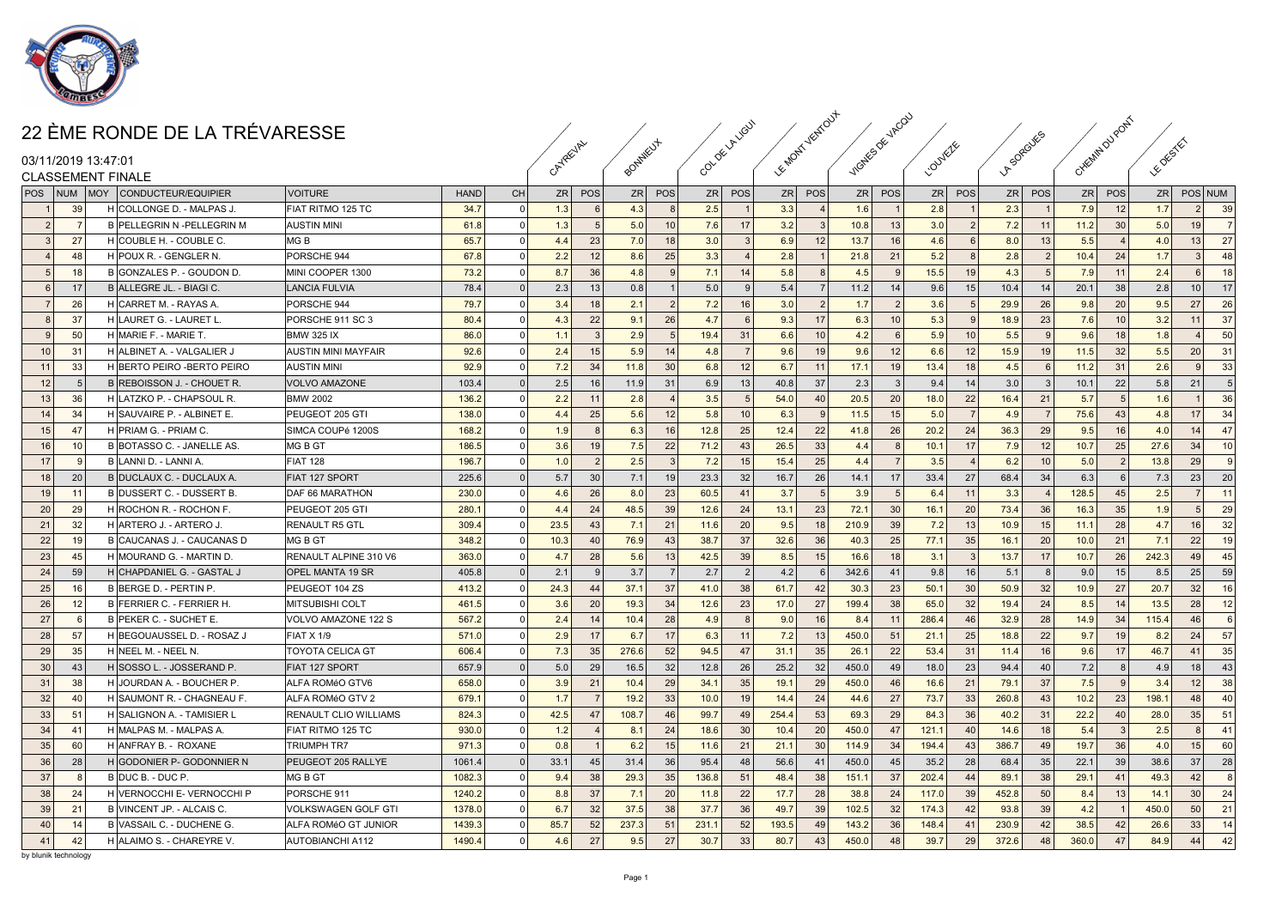

|                                               | 22 ÈME RONDE DE LA TRÉVARESSE                     |                                            |                 |           |             |               |              |                         | OF LALIGUY              | Females Vestout           |                | <b>VACOU</b>   |               |                 |                     |          | CHEEMIN OU  |                    |                |                  |                |
|-----------------------------------------------|---------------------------------------------------|--------------------------------------------|-----------------|-----------|-------------|---------------|--------------|-------------------------|-------------------------|---------------------------|----------------|----------------|---------------|-----------------|---------------------|----------|-------------|--------------------|----------------|------------------|----------------|
| 03/11/2019 13:47:01                           |                                                   |                                            |                 |           | CAYREVAL    |               |              |                         | ى<br>م                  |                           |                |                | 1.001         |                 | SDREA<br>$\sqrt{r}$ |          |             |                    | <b>E</b> OFFER |                  |                |
| <b>CLASSEMENT FINALE</b>                      |                                                   |                                            |                 |           |             |               |              |                         |                         |                           |                |                |               |                 |                     |          |             |                    |                |                  |                |
| POS                                           | <b>NUM MOY CONDUCTEUR/EQUIPIER</b>                | <b>VOITURE</b>                             | <b>HAND</b>     | <b>CH</b> | ZR          | POS           | ZR           | POS                     | POS<br>ZR               | POS<br>ZR                 |                | ZR POS         |               | ZR POS          | ZR                  | POS      |             | ZR POS             |                | ZR POS NUM       |                |
| 39                                            | <b>H</b> COLLONGE D. - MALPAS J                   | FIAT RITMO 125 TC                          | 34.7            | $\Omega$  | 1.3         |               | 4.3          | 8                       | 2.5                     | 3.3                       | 1.6            |                | 2.8           |                 | 2.3                 |          | 7.9         | 12                 | 1.7            | 2                | 39             |
|                                               | B PELLEGRIN N -PELLEGRIN M                        | <b>AUSTIN MINI</b>                         | 61.8            | $\Omega$  | 1.3         | -5            | 5.0          | 10                      | 7.6<br>17 <sup>1</sup>  | 3.2                       | 10.8           | 13             | 3.0           | $\overline{2}$  | 7.2                 | 11       | 11.2        | 30 <sup>°</sup>    | 5.0            | 19 <sup>1</sup>  | $\overline{7}$ |
| 27<br>$\mathbf{3}$                            | H COUBLE H. - COUBLE C.                           | MG B                                       | 65.7            | $\Omega$  | 4.4         | 23            | 7.0          | 18                      | 3.0<br>3                | 6.9<br>12                 | 13.7           | 16             | 4.6           | 6               | 8.0                 | 13       | 5.5         |                    | 4.0            | 13               | 27             |
| 48                                            | H POUX R. - GENGLER N.                            | PORSCHE 944                                | 67.8            | $\Omega$  | 2.2         | 12            | 8.6          | 25                      | 3.3<br>$\overline{4}$   | 2.8                       | 21.8           | 21             | 5.2           | $\mathbf{R}$    | 2.8                 |          | 10.4        | 24                 | 1.7            | $\mathcal{R}$    | 48             |
| 18                                            | B GONZALES P. - GOUDON D.                         | MINI COOPER 1300                           | 73.2            | $\Omega$  | 8.7         | 36            | 4.8          | 9                       | 7.1<br>14               | 5.8                       | 4.5            |                | 15.5          | 19              | 4.3                 |          | 7.9         | 11                 | 2.4            | $6 \overline{6}$ | 18             |
| 17                                            | B ALLEGRE JL. - BIAGI C.                          | <b>LANCIA FULVIA</b>                       | 78.4            | $\Omega$  | 2.3         | 13            | 0.8          |                         | 5.0<br>$\mathbf{Q}$     | 5.4                       | 11.2           | 14             | 9.6           | 15              | 10.4                | 14       | 20.1        | 38                 | 2.8            | 10 <sup>1</sup>  | 17             |
| 26                                            | H CARRET M. - RAYAS A.                            | PORSCHE 944                                | 79.7            | $\Omega$  | 3.4         | 18            | 2.1          | $\overline{2}$          | 7.2<br>16 <sup>1</sup>  | 3.0                       | 1.7            | $\overline{2}$ | 3.6           | 5               | 29.9                | 26       | 9.8         | 20                 | 9.5            | 27 <sup>1</sup>  | 26             |
| 37                                            | <b>H LAURET G. - LAURET L</b>                     | PORSCHE 911 SC 3                           | 80.4            | $\cap$    | 4.3         | 22            | 9.1          | 26                      | 4.7<br>$6\overline{6}$  | 9.3<br>17                 | 6.3            | 10             | 5.3           | -9              | 18.9                | 23       | 7.6         | 10 <sup>1</sup>    | 3.2            | 11               | 37             |
| 50<br>$\mathbf{Q}$                            | H MARIE F. - MARIE T                              | IBMW 325 IX                                | 86.0            | $\Omega$  | 1.1         | 3             | 2.9          | 5                       | 31<br>19.4              | 10 <sup>1</sup><br>6.6    | 4.2            | - 6            | 5.9           | 10              | 5.5                 |          | 9.6         | 18                 | 1.8            | $\overline{a}$   | 50             |
| 10<br>3'                                      | H ALBINET A. - VALGALIER J                        | AUSTIN MINI MAYFAIR                        | 92.6            | $\Omega$  | 2.4         | 15            | 5.9          | 14                      | 4.8<br>$\overline{7}$   | 9.6<br>19                 | 9.6            | 12             | 6.6           | 12              | 15.9                | 19       | 11.5        | 32                 | 5.5            | 20 <sub>1</sub>  | 31             |
| 33<br>11                                      | H BERTO PEIRO - BERTO PEIRO                       | <b>AUSTIN MINI</b>                         | 92.9            | $\Omega$  | 7.2         | 34            | 11.8         | 30                      | 12<br>6.8               | 6.7<br>11                 | 17.1           | 19             | 13.4          | 18              | 4.5                 |          | 11.2        | 31                 | 2.6            | 9                | 33             |
| 12                                            | B REBOISSON J. - CHOUET R.                        | VOLVO AMAZONE                              | 103.4           | $\Omega$  | 2.5         | 16            | 11.9         | 31                      | 6.9<br>13 <sup>1</sup>  | 40.8<br>37                | 2.3            | $\mathbf{R}$   | 9.4           | 14              | 3.0                 |          | 10.1        | 22                 | 5.8            | 21               | -5             |
| 13<br>36                                      | H LATZKO P. - CHAPSOUL R.                         | <b>BMW 2002</b>                            | 136.2           | $\cap$    | 2.2         | 11            | 2.8          | $\overline{\mathbf{A}}$ | 3.5<br>$5\overline{5}$  | 54.0<br>40                | 20.5           | 20             | 18.0          | 22              | 16.4                | 21       | 5.7         | -5                 | 1.6            | $\mathbf{1}$     | 36             |
| 14<br>34                                      | H SAUVAIRE P. - ALBINET E.                        | PEUGEOT 205 GTI                            | 138.0           | $\Omega$  | 4.4         | 25            | 5.6          | 12                      | 10 <sup>1</sup><br>5.8  | 6.3                       | 11.5           | 15             | 5.0           | $\overline{7}$  | 4.9                 |          | 75.6        | 43                 | 4.8            | 17 <sup>1</sup>  | 34             |
| 15 <sup>1</sup><br>47                         | <b>H</b> PRIAM G. - PRIAM C                       | SIMCA COUPé 1200S                          | 168.2           | $\Omega$  | 1.9         | $\mathbf{R}$  | 6.3          | 16                      | 12.8<br>25              | 12.4<br>22                | 41.8           | 26             | 20.2          | 24              | 36.3                | 29       | 9.5         | 16                 | 4.0            | 14               | 47             |
| 16<br>1 <sup>c</sup>                          | B BOTASSO C. - JANELLE AS.                        | MG B GT                                    | 186.5           | $\Omega$  | 3.6         | 19            | 7.5          | 22                      | 71.2<br>43              | 26.5<br>33                | 4.4            |                | 10.1          | 17              | 7.9                 | 12       | 10.7        | 25                 | 27.6           | 34               | 10             |
| 17                                            | B LANNI D. - LANNI A.                             | <b>FIAT 128</b>                            | 196.7           | $\Omega$  | 1.0         | $\mathcal{P}$ | 2.5          | $\overline{3}$          | 7.2<br>15 <sup>1</sup>  | 25<br>15.4                | 4.4            |                | 3.5           |                 | 6.2                 | 10       | 5.0         | $\overline{2}$     | 13.8           | 29               | $\mathbf{g}$   |
| 18<br>20                                      | B DUCLAUX C. - DUCLAUX A.                         | <b>FIAT 127 SPORT</b>                      | 225.6           | $\Omega$  | 5.7         | 30            | 7.1          | 19                      | 32<br>23.3              | 16.7<br>26                | 14.1           | 17             | 33.4          | 27              | 68.4                | 34       | 6.3         |                    | 7.3            | 23               | 20             |
| 19<br>11                                      | B DUSSERT C. - DUSSERT B.                         | DAF 66 MARATHON                            | 230.0           | $\Omega$  | 4.6         | 26            | 8.0          | 23                      | 60.5<br>41              | 3.7                       | 3.9            | - 5            | 6.4           | 11              | 3.3                 |          | 128.5       | 45                 | 2.5            | 7 <sup>1</sup>   | 11             |
| 20<br>29                                      | H ROCHON R. - ROCHON F.                           | PEUGEOT 205 GTI                            | 280.1           | $\Omega$  | 4.4         | 24            | 48.5         | 39                      | 12.6<br>24              | 13.1<br>23                | 72.1           | 30             | 16.1          | 20              | 73.4                | 36       | 16.3        | 35                 | 1.9            | $5\overline{5}$  | 29             |
| 21<br>32                                      | H ARTERO J. - ARTERO J                            | <b>RENAULT R5 GTL</b>                      | 309.4           | $\Omega$  | 23.5        | 43            | 7.1          | 21                      | 20<br>11.6              | 9.5<br>18                 | 210.9          | 39             | 7.2           | 13              | 10.9                | 15       | 11.1        | 28                 | 4.7            | 16 <sup>1</sup>  | 32             |
| 22<br>19                                      | B CAUCANAS J. - CAUCANAS D                        | MG B GT                                    | 348.2           | $\Omega$  | 10.3        | 40            | 76.9         | 43                      | 38.7<br>37 <sup>1</sup> | 36<br>32.6                | 40.3           | 25             | 77.1          | 35              | 16.1                | 20       | 10.0        | 21                 | 7.1            | 22               | 19             |
| 23<br>45                                      | H MOURAND G. - MARTIN D.                          | RENAULT ALPINE 310 V6                      | 363.0           | $\Omega$  | 4.7         | 28            | 5.6          | 13                      | 42.5<br>39              | 15<br>8.5                 | 16.6           | 18             | 3.1           | - 3             | 13.7                | 17       | 10.7        | 26                 | 242.3          | 49               | 45             |
| 24<br>59                                      | H CHAPDANIEL G. - GASTAL J                        | <b>OPEL MANTA 19 SR</b>                    | 405.8           | $\Omega$  | 2.1         | -91           | 3.7          | - 7 I                   | 2.7<br>2                | 4.2                       | 342.6          | 41             | 9.8           | 16              | 5.1                 |          | 9.0         | 15                 | 8.5            | 25               | 59             |
| 25<br>16                                      | B BERGE D. - PERTIN P                             | PEUGEOT 104 ZS                             | 413.2           | $\Omega$  | 24.3        | 44            | 37.1         | 37                      | 41.0<br>38 <sup>1</sup> | 61.7<br>42                | 30.3           | 23             | 50.1          | 30              | 50.9                | 32       | 10.9        | 27                 | 20.7           | 32               | 16             |
| 26<br>12                                      | B FERRIER C. - FERRIER H.                         | IMITSUBISHI COLT                           | 461.5           | $\Omega$  | 3.6         | 20            | 19.3         | 34                      | 12.6<br>23              | 17.0<br>27                | 199.4          | 38             | 65.0          | 32              | 19.4                | 24       | 8.5         | 14                 | 13.5           | 28               | 12             |
| 27                                            | B PEKER C. - SUCHET E.                            | VOLVO AMAZONE 122 S                        | 567.2           | $\Omega$  | 2.4         | 14            | 10.4         | 28                      | 8<br>4.9                | 9.0<br>16                 | 8.4            | 11             | 286.4         | 46              | 32.9                | 28       | 14.9        | 34                 | 115.4          | 46               | 6              |
| 28<br>57                                      | H BEGOUAUSSEL D. - ROSAZ J                        | FIAT X 1/9                                 | 571.0           | $\Omega$  | 2.9         | 17            | 6.7          | 17                      | 6.3<br>11               | 7.2<br> 13                | 450.0          | 51             | 21.1          | 25              | 18.8                | 22       | 9.7         | 19                 | 8.2            | 24               | 57             |
| 29<br>35                                      | H NEEL M. - NEEL N.                               | <b>TOYOTA CELICA GT</b>                    | 606.4           | $\Omega$  | 7.3         | 35            | 276.6        | 52                      | 94.5<br>47              | 35<br>31.1                | 26.1           | 22             | 53.4          | 31              | 11.4                | 16       | 9.6         | 17 <sup>1</sup>    | 46.7           | 41               | 35             |
| 30<br>43                                      | H SOSSO L. - JOSSERAND P                          | <b>FIAT 127 SPORT</b>                      | 657.9           | $\Omega$  | 5.0         | 29            | 16.5         | 32                      | 12.8<br>26              | 25.2<br>32                | 450.0          | 49             | 18.0          | 23              | 94.4                | 40       | 7.2         | 8                  | 4.9            | 18 <sup>1</sup>  | 43             |
| 31<br>38                                      | H JOURDAN A. - BOUCHER P.                         | ALFA ROMéO GTV6                            | 658.0           | $\Omega$  | 3.9         | 21            | 10.4         | 29                      | 34.1<br>35              | 19.1<br>29                | 450.0          | 46             | 16.6          | 21              | 79.1                | 37       | 7.5         | q                  | 3.4            | 12               | 38             |
| 32<br>$\Delta$ <sup><math>\Gamma</math></sup> | H SAUMONT R. - CHAGNEAU F.                        | ALFA ROMéO GTV 2                           | 679.1           | $\Omega$  | 1.7         |               | 19.2         | 33                      | 19<br>10.0              | 14.4<br>24                | 44.6           | 27             | 73.7          | 33              | 260.8               | 43       | 10.2        | 23                 | 198.1          | 48               | 40             |
| 5                                             | H SALIGNON A. - TAMISIER I                        |                                            |                 |           |             | 47            |              | 46                      | 49                      |                           |                |                |               | 36              |                     |          |             |                    |                | 35               | 51             |
| 33<br>34<br>$\mathbf{A}$                      | H MALPAS M. - MALPAS A.                           | RENAULT CLIO WILLIAMS<br>FIAT RITMO 125 TC | 824.3<br>930.0  | $\Omega$  | 42.5<br>1.2 |               | 108.7<br>8.1 | 24                      | 99.7<br>18.6<br>30      | 254.4<br>53<br>10.4<br>20 | 69.3<br>450.0  | 29<br>47       | 84.3<br>121.1 | 40              | 40.2<br>14.6        | 31<br>18 | 22.2<br>5.4 | 40<br>$\mathbf{3}$ | 28.0<br>2.5    | 8                | 41             |
|                                               |                                                   |                                            |                 | $\Omega$  | 0.8         |               |              |                         |                         |                           |                |                |               |                 |                     |          |             |                    |                | 15               |                |
| 35<br>60                                      | H ANFRAY B. - ROXANE<br>H GODONIER P- GODONNIER N | Triumph Tr7<br>PEUGEOT 205 RALLYE          | 971.3<br>1061.4 | $\cap$    |             | 45            | 6.2          | 15                      | 11.6<br>21<br>48        | 30<br>21.1                | 114.9<br>450.0 | 34<br>45       | 194.4         | 43 <sup>1</sup> | 386.7               | 49       | 19.7        | 36<br>39           | 4.0<br>38.6    | 37               | 60             |
| 36<br>28                                      |                                                   |                                            |                 |           | 33.1        |               | 31.4         | 36                      | 95.4                    | 56.6<br>41                |                |                | 35.2          | 28              | 68.4                | 35       | 22.1        |                    |                |                  | 28             |
| 37                                            | B DUC B. - DUC P.                                 | MG B GT                                    | 1082.3          | $\Omega$  | 9.4         | 38            | 29.3         | 35                      | 136.8<br>51             | 48.4<br>38                | 151.           | 37             | 202.4         | 44              | 89.1                | 38       | 29.1        | 41                 | 49.3           | 42               | -8             |
| 38<br>24                                      | H VERNOCCHI E- VERNOCCHI P                        | PORSCHE 911                                | 1240.2          |           | 8.8         | 37            | 7.1          | 20                      | 22<br>11.8              | 28<br>17.7                | 38.8           | 24             | 117.0         | 39              | 452.8               | 50       | 8.4         | 13                 | 14.1           | 30               | 24             |
| 39<br>21                                      | B VINCENT JP. - ALCAIS C.                         | VOLKSWAGEN GOLF GTI                        | 1378.0          | $\Omega$  | 6.7         | 32            | 37.5         | 38                      | 37.7<br>36              | 49.7<br>39                | 102.5          | 32             | 174.3         | 42              | 93.8                | 39       | 4.2         |                    | 450.0          | 50               | 21             |
| 40<br>14                                      | B VASSAIL C. - DUCHENE G.                         | ALFA ROMéO GT JUNIOR                       | 1439.3          | $\Omega$  | 85.7        | 52            | 237.3        | 51                      | 231.1<br>52             | 193.5<br>49               | 143.2          | 36             | 148.4         | 41              | 230.9               | 42       | 38.5        | 42                 | 26.6           | 33               | 14             |
| 41<br>42                                      | H ALAIMO S. - CHAREYRE V.                         | <b>AUTOBIANCHI A112</b>                    | 1490.4          | $\Omega$  | 4.6         | 27            | 9.5          | 27                      | 30.7<br>33              | 80.7<br>43                | 450.C          | 48             | 39.7          | 29              | 372.6               | 48       | 360.0       | 47                 | 84.9           | 44               | 42             |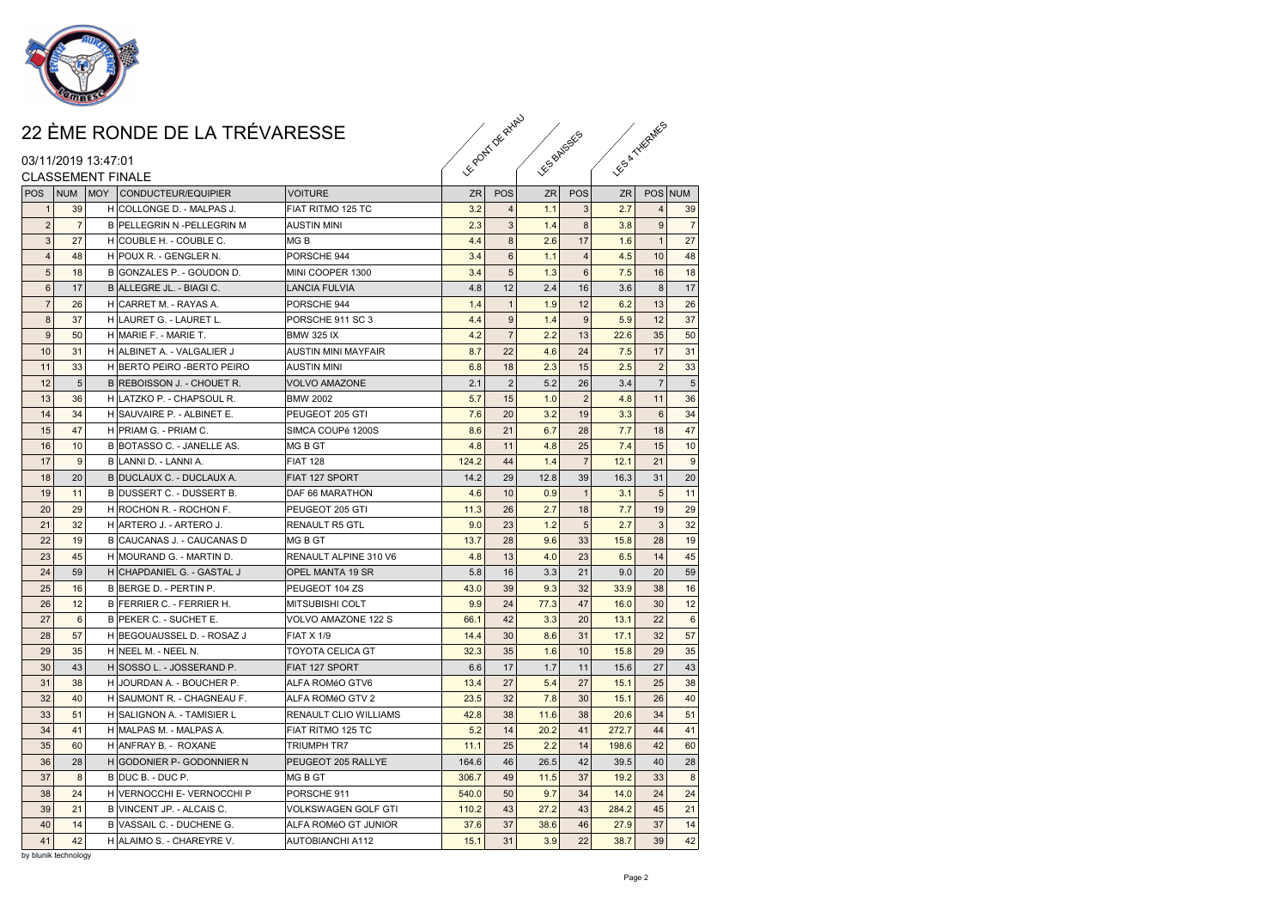

#### 03/11/2019 13:47:01

|                  |                | 22 ÈME RONDE DE LA TRÉVARESSE   |                              | Feody of Princip |                | <b>FS BALGSES</b> |                |           | ES & THERMES   |                |  |
|------------------|----------------|---------------------------------|------------------------------|------------------|----------------|-------------------|----------------|-----------|----------------|----------------|--|
|                  |                | 03/11/2019 13:47:01             |                              |                  |                |                   |                |           |                |                |  |
|                  |                | <b>CLASSEMENT FINALE</b>        |                              |                  |                |                   |                |           |                |                |  |
|                  |                | POS NUM MOY CONDUCTEUR/EQUIPIER | <b>VOITURE</b>               | <b>ZR</b>        | POS            | ZR                | POS            | <b>ZR</b> | POS NUM        |                |  |
| $\mathbf{1}$     | 39             | H COLLONGE D. - MALPAS J.       | FIAT RITMO 125 TC            | 3.2              | $\overline{4}$ | 1.1               | 3              | 2.7       | $\overline{4}$ | 39             |  |
| $\sqrt{2}$       | $\overline{7}$ | B PELLEGRIN N -PELLEGRIN M      | <b>AUSTIN MINI</b>           | 2.3              | $\mathbf{3}$   | 1.4               | 8              | 3.8       | 9              | $\overline{7}$ |  |
| $\sqrt{3}$       | 27             | H COUBLE H. - COUBLE C.         | MG B                         | 4.4              | $\bf8$         | 2.6               | 17             | 1.6       | $\mathbf{1}$   | 27             |  |
| $\overline{4}$   | 48             | H POUX R. - GENGLER N.          | PORSCHE 944                  | 3.4              | 6              | $1.1$             | $\overline{4}$ | 4.5       | 10             | 48             |  |
| $\overline{5}$   | 18             | B GONZALES P. - GOUDON D.       | MINI COOPER 1300             | 3.4              | $\sqrt{5}$     | 1.3               | 6              | 7.5       | 16             | 18             |  |
| $\,6\,$          | 17             | B ALLEGRE JL. - BIAGI C.        | LANCIA FULVIA                | 4.8              | 12             | 2.4               | 16             | 3.6       | 8              | 17             |  |
| $\overline{7}$   | 26             | H CARRET M. - RAYAS A.          | PORSCHE 944                  | 1.4              | $\mathbf{1}$   | 1.9               | 12             | 6.2       | 13             | 26             |  |
| $\bf 8$          | 37             | H LAURET G. - LAURET L.         | PORSCHE 911 SC 3             | 4.4              | 9              | 1.4               | 9              | 5.9       | 12             | 37             |  |
| $\boldsymbol{9}$ | 50             | H MARIE F. - MARIE T.           | <b>BMW 325 IX</b>            | 4.2              | $\overline{7}$ | 2.2               | 13             | 22.6      | 35             | 50             |  |
| 10               | 31             | H ALBINET A. - VALGALIER J      | <b>AUSTIN MINI MAYFAIR</b>   | 8.7              | 22             | 4.6               | 24             | 7.5       | 17             | 31             |  |
| 11               | 33             | H BERTO PEIRO - BERTO PEIRO     | <b>AUSTIN MINI</b>           | 6.8              | 18             | 2.3               | 15             | 2.5       | $\overline{2}$ | 33             |  |
| 12               | 5              | B REBOISSON J. - CHOUET R.      | <b>VOLVO AMAZONE</b>         | 2.1              | $\overline{2}$ | 5.2               | 26             | 3.4       | $\overline{7}$ | 5              |  |
| 13               | 36             | H LATZKO P. - CHAPSOUL R.       | <b>BMW 2002</b>              | 5.7              | 15             | 1.0               | $\overline{2}$ | 4.8       | 11             | 36             |  |
| 14               | 34             | H SAUVAIRE P. - ALBINET E.      | PEUGEOT 205 GTI              | 7.6              | 20             | 3.2               | 19             | 3.3       | 6              | 34             |  |
| 15               | 47             | H PRIAM G. - PRIAM C.           | SIMCA COUPé 1200S            | 8.6              | 21             | 6.7               | 28             | 7.7       | 18             | 47             |  |
| 16               | 10             | B BOTASSO C. - JANELLE AS.      | MG B GT                      | 4.8              | 11             | 4.8               | 25             | 7.4       | 15             | 10             |  |
| 17               | 9              | B LANNI D. - LANNI A.           | <b>FIAT 128</b>              | 124.2            | 44             | 1.4               | $\overline{7}$ | 12.1      | 21             | 9              |  |
| 18               | 20             | B DUCLAUX C. - DUCLAUX A.       | FIAT 127 SPORT               | 14.2             | 29             | 12.8              | 39             | 16.3      | 31             | 20             |  |
| 19               | 11             | B DUSSERT C. - DUSSERT B.       | DAF 66 MARATHON              | 4.6              | 10             | 0.9               | $\overline{1}$ | 3.1       | $\sqrt{5}$     | 11             |  |
| 20               | 29             | H ROCHON R. - ROCHON F.         | PEUGEOT 205 GTI              | 11.3             | 26             | 2.7               | 18             | 7.7       | 19             | 29             |  |
| 21               | 32             | H ARTERO J. - ARTERO J.         | <b>RENAULT R5 GTL</b>        | 9.0              | 23             | 1.2               | 5 <sup>1</sup> | 2.7       | $\mathbf{3}$   | 32             |  |
| 22               | 19             | B CAUCANAS J. - CAUCANAS D      | MG B GT                      | 13.7             | 28             | 9.6               | 33             | 15.8      | 28             | 19             |  |
| 23               | 45             | H MOURAND G. - MARTIN D.        | RENAULT ALPINE 310 V6        | 4.8              | 13             | 4.0               | 23             | 6.5       | 14             | 45             |  |
| 24               | 59             | H CHAPDANIEL G. - GASTAL J      | OPEL MANTA 19 SR             | 5.8              | 16             | 3.3               | 21             | 9.0       | 20             | 59             |  |
| 25               | 16             | B BERGE D. - PERTIN P.          | PEUGEOT 104 ZS               | 43.0             | 39             | 9.3               | 32             | 33.9      | 38             | 16             |  |
| 26               | 12             | B FERRIER C. - FERRIER H.       | <b>MITSUBISHI COLT</b>       | 9.9              | 24             | 77.3              | 47             | 16.0      | 30             | 12             |  |
| 27               | 6              | B PEKER C. - SUCHET E.          | VOLVO AMAZONE 122 S          | 66.1             | 42             | 3.3               | 20             | 13.1      | 22             | 6              |  |
| 28               | 57             | H BEGOUAUSSEL D. - ROSAZ J      | <b>FIAT X 1/9</b>            | 14.4             | 30             | 8.6               | 31             | 17.1      | 32             | 57             |  |
| 29               | 35             | H NEEL M. - NEEL N.             | <b>TOYOTA CELICA GT</b>      | 32.3             | 35             | 1.6               | 10             | 15.8      | 29             | 35             |  |
| 30               | 43             | H SOSSO L. - JOSSERAND P.       | FIAT 127 SPORT               | 6.6              | 17             | 1.7               | 11             | 15.6      | 27             | 43             |  |
| 31               | 38             | H JOURDAN A. - BOUCHER P.       | ALFA ROMéO GTV6              | 13.4             | 27             | 5.4               | 27             | 15.1      | 25             | 38             |  |
| 32               | 40             | H SAUMONT R. - CHAGNEAU F.      | ALFA ROMéO GTV 2             | 23.5             | 32             | 7.8               | 30             | 15.1      | 26             | 40             |  |
| 33               | 51             | H SALIGNON A. - TAMISIER L      | <b>RENAULT CLIO WILLIAMS</b> | 42.8             | 38             | 11.6              | 38             | 20.6      | 34             | 51             |  |
| 34               | 41             | H MALPAS M. - MALPAS A.         | FIAT RITMO 125 TC            | 5.2              | 14             | 20.2              | 41             | 272.7     | 44             | 41             |  |
| 35               | 60             | H ANFRAY B. - ROXANE            | <b>TRIUMPH TR7</b>           | 11.1             | 25             | 2.2               | 14             | 198.6     | 42             | 60             |  |
| 36               | 28             | H GODONIER P- GODONNIER N       | PEUGEOT 205 RALLYE           | 164.6            | 46             | 26.5              | 42             | 39.5      | 40             | 28             |  |
| 37               | 8              | B DUC B. - DUC P.               | MG B GT                      | 306.7            | 49             | 11.5              | 37             | 19.2      | 33             | 8              |  |
| 38               | 24             | H VERNOCCHI E- VERNOCCHI P      | PORSCHE 911                  | 540.0            | 50             | 9.7               | 34             | 14.0      | 24             | 24             |  |
| 39               | 21             | B VINCENT JP. - ALCAIS C.       | <b>VOLKSWAGEN GOLF GTI</b>   | 110.2            | 43             | 27.2              | 43             | 284.2     | 45             | 21             |  |
| 40               | 14             | B VASSAIL C. - DUCHENE G.       | ALFA ROMéO GT JUNIOR         | 37.6             | 37             | 38.6              | 46             | 27.9      | 37             | 14             |  |
| 41               | 42             | H ALAIMO S. - CHAREYRE V.       | <b>AUTOBIANCHI A112</b>      | 15.1             | 31             | 3.9               | 22             | 38.7      | 39             | 42             |  |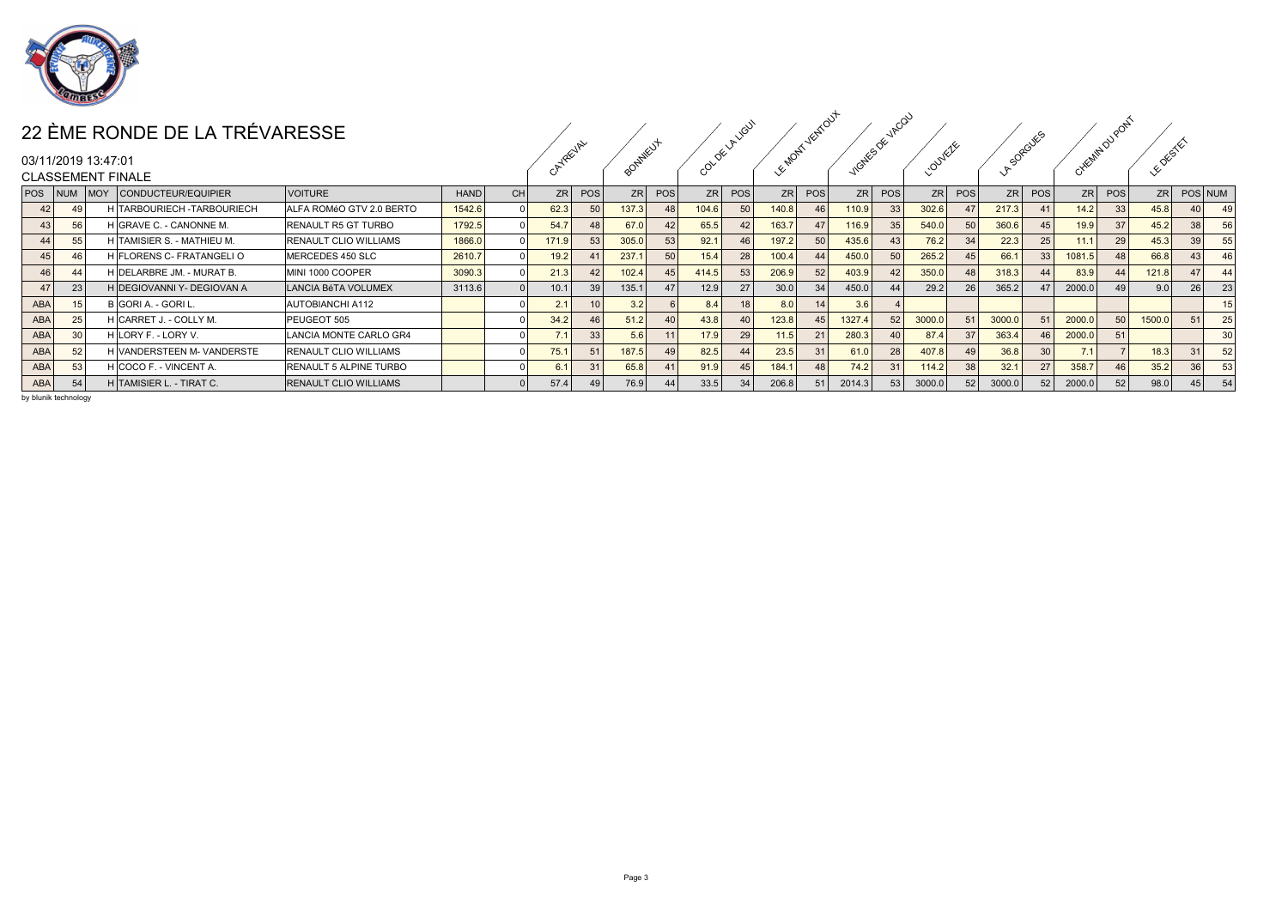

|     |    |                     | 22 ÈME RONDE DE LA TRÉVARESSE   |                               |             |           |                   | 2EVAL |           |     |                   | <b>VGUT</b>    |       | VENTU          |              |        |                  |                 |        | 385 |                 |                 |                  |              |  |
|-----|----|---------------------|---------------------------------|-------------------------------|-------------|-----------|-------------------|-------|-----------|-----|-------------------|----------------|-------|----------------|--------------|--------|------------------|-----------------|--------|-----|-----------------|-----------------|------------------|--------------|--|
|     |    | 03/11/2019 13:47:01 |                                 |                               |             |           |                   |       |           |     | ଟ∕                |                |       |                | <b>NESOE</b> |        | $\sim$<br>$\sim$ |                 |        |     | <b>High!</b>    |                 | 65               |              |  |
|     |    |                     | <b>CLASSEMENT FINALE</b>        |                               |             |           |                   |       |           |     |                   |                |       |                |              |        |                  |                 |        |     |                 |                 |                  |              |  |
|     |    |                     | POS NUM MOY CONDUCTEUR/EQUIPIER | <b>VOITURE</b>                | <b>HAND</b> | <b>CH</b> | ZR                | POS   | <b>ZR</b> | POS | ZRI               | POS            |       | $ zR $ POS     |              | ZR POS | <b>ZR</b>        | POS             | ZR     | POS | ZR <sup>I</sup> | POS             |                  | ZR POS NUM   |  |
| 42  |    |                     | H TARBOURIECH - TARBOURIECH     | ALFA ROMéO GTV 2.0 BERTO      | 1542.6      |           | 62.3              | 50    | 37.3      |     | 104.6             |                | 140.8 | 46             | 110.9        | 33     | 302.6            | 47              | 217.3  |     | 14.2            | 33 <sup>1</sup> | 45.8             |              |  |
| 43  |    |                     | H GRAVE C. - CANONNE M.         | RENAULT R5 GT TURBO           | 1792.5      |           | 54.7              | 48    | 67.C      | 421 | 65.5              |                | 163.7 | 47             | 116.9        | 35     | 540.0            | 50 <sub>1</sub> | 360.6  | 45  | 19.9            |                 | 45.2             | 38           |  |
| 44  |    |                     | H TAMISIER S. - MATHIEU M.      | <b>RENAULT CLIO WILLIAMS</b>  | 1866.0      |           | 171.9             | 53    | 305.C     | 53  | 92.1              |                | 197.2 | 50             | 435.6        |        | 76.2             | 34              | 22.3   | 25  |                 | 29              | 45.3             | 39           |  |
| 45  |    |                     | H FLORENS C- FRATANGELI O       | MERCEDES 450 SLC              | 2610.7      |           | 19.2              |       | 237.      | 50  | 15.4              |                | 100.4 | 44             | 450.0        | 50     | 265.2            |                 | 66.1   | 33  | 1081            |                 | 66.8             | 43           |  |
| 46  |    |                     | H DELARBRE JM. - MURAT B.       | MINI 1000 COOPER              | 3090.3      |           | 21.3              | 42    | 02.4      | 45  | 414.5             |                | 206.9 | 52             | 403.9        | 42     | 350.0            | 48              | 318.3  | 44  | 83.9            |                 | 121.8            | $\mathbf{A}$ |  |
| 47  | 23 |                     | H DEGIOVANNI Y- DEGIOVAN A      | LANCIA BéTA VOLUMEX           | 3113.6      |           | 10.1 <sub>1</sub> | 39    | 135.1     | 47  | 12.9              |                | 30.0  | 34             | 450.0        | 44     | 29.2             | 26 <sup>1</sup> | 365.2  |     | 2000.0          |                 | 9.0 <sub>1</sub> | 26           |  |
| ABA |    |                     | B GORI A. - GORI L.             | <b>AUTOBIANCHI A112</b>       |             |           | 2.1               |       | 3.2       |     | 8.4               |                | 8.0   |                | 3.6          |        |                  |                 |        |     |                 |                 |                  |              |  |
| ABA |    |                     | H CARRET J. - COLLY M.          | PEUGEOT 505                   |             |           | 34.2              | 46    | 51.2      | 40  | 43.8              |                | 123.8 | 45             | 1327.4       | 52     | 3000.0           | 51              | 3000.0 | 51  | 2000.0          |                 | 1500.0           |              |  |
| ABA |    |                     | H LORY F. - LORY V.             | LANCIA MONTE CARLO GR4        |             |           | 74                | 33    | 5.6       |     | 17.9 <sub>1</sub> | 2 <sup>0</sup> | 11.5  | 21             | 280.3        |        | 87.4             | 37 <sup>1</sup> | 363.4  | 46  | 2000.0          |                 |                  |              |  |
| ABA |    |                     | H VANDERSTEEN M- VANDERSTE      | RENAULT CLIO WILLIAMS         |             |           | 75.1              | 51    | 87.5      |     | 82.5              |                | 23.5  | 3 <sup>1</sup> | 61.0         | 28     | 407.8            |                 | 36.8   | 30  |                 |                 | 18.3             |              |  |
| ABA |    |                     | H COCO F. - VINCENT A.          | <b>RENAULT 5 ALPINE TURBO</b> |             |           | 6.1               | 31    | 65.8      |     | 91.9              |                | 184.1 | 48             | 74.2         | 31     | 114.2            | 38              | 32.1   | 27  | 358.7           |                 | 35.2             | 36           |  |
| ABA |    |                     | H TAMISIER L. - TIRAT C.        | <b>RENAULT CLIO WILLIAMS</b>  |             |           | 57.4              | 49    | 76.9      | 44  | 33.5              |                | 206.8 |                | 2014.3       | 53     | 3000.0           |                 | 3000.0 | 52  | 2000.0          |                 | 98.0             | 45           |  |